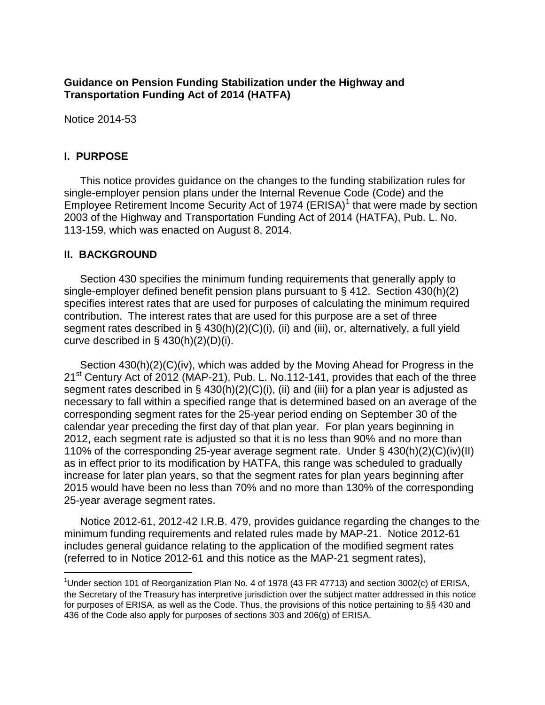# **Guidance on Pension Funding Stabilization under the Highway and Transportation Funding Act of 2014 (HATFA)**

Notice 2014-53

## **I. PURPOSE**

This notice provides guidance on the changes to the funding stabilization rules for single-employer pension plans under the Internal Revenue Code (Code) and the Employee Retirement Income Security Act of [1](#page-0-0)974 (ERISA)<sup>1</sup> that were made by section 2003 of the Highway and Transportation Funding Act of 2014 (HATFA), Pub. L. No. 113-159, which was enacted on August 8, 2014.

## **II. BACKGROUND**

Section 430 specifies the minimum funding requirements that generally apply to single-employer defined benefit pension plans pursuant to § 412. Section 430(h)(2) specifies interest rates that are used for purposes of calculating the minimum required contribution. The interest rates that are used for this purpose are a set of three segment rates described in § 430(h)(2)(C)(i), (ii) and (iii), or, alternatively, a full yield curve described in  $\S$  430(h)(2)(D)(i).

Section 430(h)(2)(C)(iv), which was added by the Moving Ahead for Progress in the 21<sup>st</sup> Century Act of 2012 (MAP-21), Pub. L. No.112-141, provides that each of the three segment rates described in § 430(h)(2)(C)(i), (ii) and (iii) for a plan year is adjusted as necessary to fall within a specified range that is determined based on an average of the corresponding segment rates for the 25-year period ending on September 30 of the calendar year preceding the first day of that plan year. For plan years beginning in 2012, each segment rate is adjusted so that it is no less than 90% and no more than 110% of the corresponding 25-year average segment rate. Under § 430(h)(2)(C)(iv)(II) as in effect prior to its modification by HATFA, this range was scheduled to gradually increase for later plan years, so that the segment rates for plan years beginning after 2015 would have been no less than 70% and no more than 130% of the corresponding 25-year average segment rates.

Notice 2012-61, 2012-42 I.R.B. 479, provides guidance regarding the changes to the minimum funding requirements and related rules made by MAP-21. Notice 2012-61 includes general guidance relating to the application of the modified segment rates (referred to in Notice 2012-61 and this notice as the MAP-21 segment rates),

<span id="page-0-0"></span> $\frac{1}{1}$ <sup>1</sup>Under section 101 of Reorganization Plan No. 4 of 1978 (43 FR 47713) and section 3002(c) of ERISA, the Secretary of the Treasury has interpretive jurisdiction over the subject matter addressed in this notice for purposes of ERISA, as well as the Code. Thus, the provisions of this notice pertaining to §§ 430 and 436 of the Code also apply for purposes of sections 303 and 206(g) of ERISA.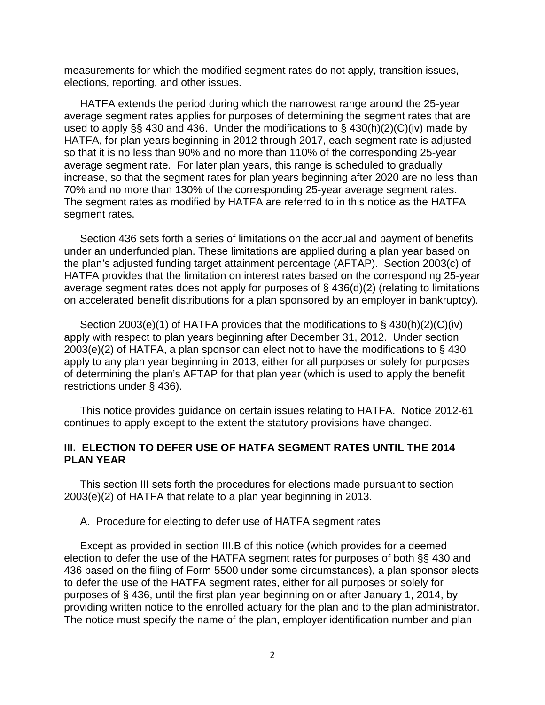measurements for which the modified segment rates do not apply, transition issues, elections, reporting, and other issues.

HATFA extends the period during which the narrowest range around the 25-year average segment rates applies for purposes of determining the segment rates that are used to apply  $\S$  430 and 436. Under the modifications to  $\S$  430(h)(2)(C)(iv) made by HATFA, for plan years beginning in 2012 through 2017, each segment rate is adjusted so that it is no less than 90% and no more than 110% of the corresponding 25-year average segment rate. For later plan years, this range is scheduled to gradually increase, so that the segment rates for plan years beginning after 2020 are no less than 70% and no more than 130% of the corresponding 25-year average segment rates. The segment rates as modified by HATFA are referred to in this notice as the HATFA segment rates.

Section 436 sets forth a series of limitations on the accrual and payment of benefits under an underfunded plan. These limitations are applied during a plan year based on the plan's adjusted funding target attainment percentage (AFTAP). Section 2003(c) of HATFA provides that the limitation on interest rates based on the corresponding 25-year average segment rates does not apply for purposes of § 436(d)(2) (relating to limitations on accelerated benefit distributions for a plan sponsored by an employer in bankruptcy).

Section 2003(e)(1) of HATFA provides that the modifications to § 430(h)(2)(C)(iv) apply with respect to plan years beginning after December 31, 2012. Under section  $2003(e)(2)$  of HATFA, a plan sponsor can elect not to have the modifications to § 430 apply to any plan year beginning in 2013, either for all purposes or solely for purposes of determining the plan's AFTAP for that plan year (which is used to apply the benefit restrictions under § 436).

This notice provides guidance on certain issues relating to HATFA. Notice 2012-61 continues to apply except to the extent the statutory provisions have changed.

### **III. ELECTION TO DEFER USE OF HATFA SEGMENT RATES UNTIL THE 2014 PLAN YEAR**

This section III sets forth the procedures for elections made pursuant to section 2003(e)(2) of HATFA that relate to a plan year beginning in 2013.

A. Procedure for electing to defer use of HATFA segment rates

Except as provided in section III.B of this notice (which provides for a deemed election to defer the use of the HATFA segment rates for purposes of both §§ 430 and 436 based on the filing of Form 5500 under some circumstances), a plan sponsor elects to defer the use of the HATFA segment rates, either for all purposes or solely for purposes of § 436, until the first plan year beginning on or after January 1, 2014, by providing written notice to the enrolled actuary for the plan and to the plan administrator. The notice must specify the name of the plan, employer identification number and plan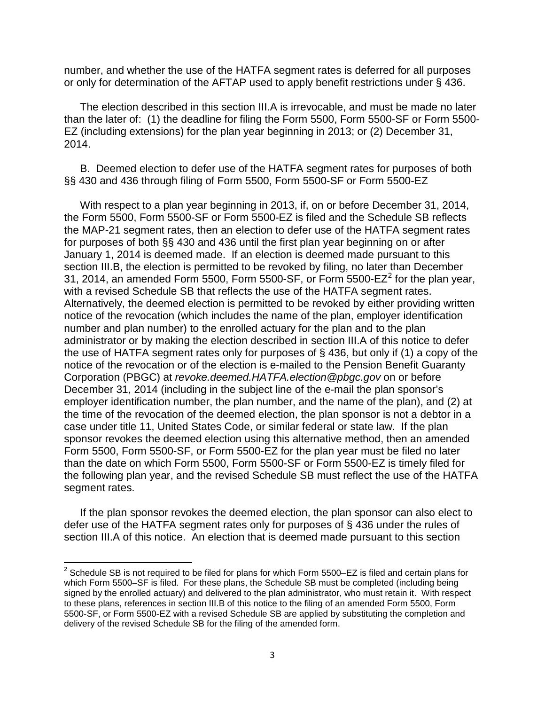number, and whether the use of the HATFA segment rates is deferred for all purposes or only for determination of the AFTAP used to apply benefit restrictions under § 436.

The election described in this section III.A is irrevocable, and must be made no later than the later of: (1) the deadline for filing the Form 5500, Form 5500-SF or Form 5500- EZ (including extensions) for the plan year beginning in 2013; or (2) December 31, 2014.

B. Deemed election to defer use of the HATFA segment rates for purposes of both §§ 430 and 436 through filing of Form 5500, Form 5500-SF or Form 5500-EZ

With respect to a plan year beginning in 2013, if, on or before December 31, 2014, the Form 5500, Form 5500-SF or Form 5500-EZ is filed and the Schedule SB reflects the MAP-21 segment rates, then an election to defer use of the HATFA segment rates for purposes of both §§ 430 and 436 until the first plan year beginning on or after January 1, 2014 is deemed made. If an election is deemed made pursuant to this section III.B, the election is permitted to be revoked by filing, no later than December 31, [2](#page-2-0)014, an amended Form 5500, Form 5500-SF, or Form 5500-E $Z^2$  for the plan year, with a revised Schedule SB that reflects the use of the HATFA segment rates. Alternatively, the deemed election is permitted to be revoked by either providing written notice of the revocation (which includes the name of the plan, employer identification number and plan number) to the enrolled actuary for the plan and to the plan administrator or by making the election described in section III.A of this notice to defer the use of HATFA segment rates only for purposes of § 436, but only if (1) a copy of the notice of the revocation or of the election is e-mailed to the Pension Benefit Guaranty Corporation (PBGC) at *revoke.deemed.HATFA.election@pbgc.gov* on or before December 31, 2014 (including in the subject line of the e-mail the plan sponsor's employer identification number, the plan number, and the name of the plan), and (2) at the time of the revocation of the deemed election, the plan sponsor is not a debtor in a case under title 11, United States Code, or similar federal or state law. If the plan sponsor revokes the deemed election using this alternative method, then an amended Form 5500, Form 5500-SF, or Form 5500-EZ for the plan year must be filed no later than the date on which Form 5500, Form 5500-SF or Form 5500-EZ is timely filed for the following plan year, and the revised Schedule SB must reflect the use of the HATFA segment rates.

If the plan sponsor revokes the deemed election, the plan sponsor can also elect to defer use of the HATFA segment rates only for purposes of § 436 under the rules of section III.A of this notice. An election that is deemed made pursuant to this section

<span id="page-2-0"></span> $2$  Schedule SB is not required to be filed for plans for which Form 5500–EZ is filed and certain plans for which Form 5500–SF is filed. For these plans, the Schedule SB must be completed (including being signed by the enrolled actuary) and delivered to the plan administrator, who must retain it. With respect to these plans, references in section III.B of this notice to the filing of an amended Form 5500, Form 5500-SF, or Form 5500-EZ with a revised Schedule SB are applied by substituting the completion and delivery of the revised Schedule SB for the filing of the amended form.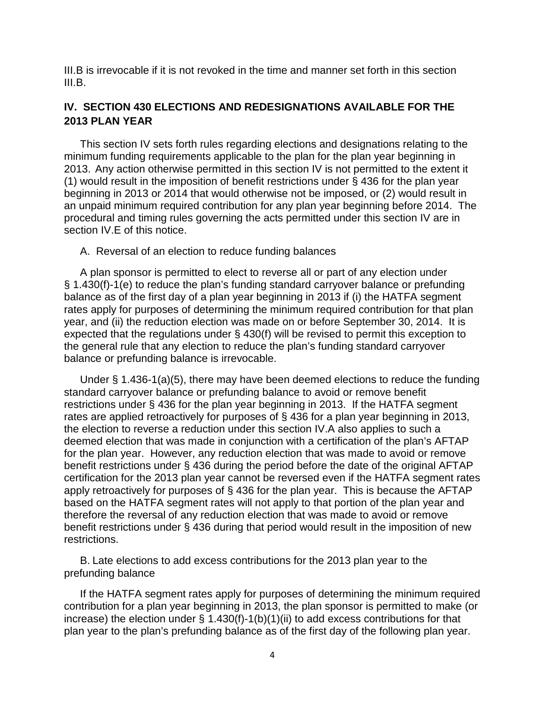III.B is irrevocable if it is not revoked in the time and manner set forth in this section III.B.

# **IV. SECTION 430 ELECTIONS AND REDESIGNATIONS AVAILABLE FOR THE 2013 PLAN YEAR**

This section IV sets forth rules regarding elections and designations relating to the minimum funding requirements applicable to the plan for the plan year beginning in 2013. Any action otherwise permitted in this section IV is not permitted to the extent it (1) would result in the imposition of benefit restrictions under § 436 for the plan year beginning in 2013 or 2014 that would otherwise not be imposed, or (2) would result in an unpaid minimum required contribution for any plan year beginning before 2014. The procedural and timing rules governing the acts permitted under this section IV are in section IV.E of this notice.

A. Reversal of an election to reduce funding balances

A plan sponsor is permitted to elect to reverse all or part of any election under § 1.430(f)-1(e) to reduce the plan's funding standard carryover balance or prefunding balance as of the first day of a plan year beginning in 2013 if (i) the HATFA segment rates apply for purposes of determining the minimum required contribution for that plan year, and (ii) the reduction election was made on or before September 30, 2014. It is expected that the regulations under § 430(f) will be revised to permit this exception to the general rule that any election to reduce the plan's funding standard carryover balance or prefunding balance is irrevocable.

Under § 1.436-1(a)(5), there may have been deemed elections to reduce the funding standard carryover balance or prefunding balance to avoid or remove benefit restrictions under § 436 for the plan year beginning in 2013. If the HATFA segment rates are applied retroactively for purposes of § 436 for a plan year beginning in 2013, the election to reverse a reduction under this section IV.A also applies to such a deemed election that was made in conjunction with a certification of the plan's AFTAP for the plan year. However, any reduction election that was made to avoid or remove benefit restrictions under § 436 during the period before the date of the original AFTAP certification for the 2013 plan year cannot be reversed even if the HATFA segment rates apply retroactively for purposes of § 436 for the plan year. This is because the AFTAP based on the HATFA segment rates will not apply to that portion of the plan year and therefore the reversal of any reduction election that was made to avoid or remove benefit restrictions under § 436 during that period would result in the imposition of new restrictions.

B. Late elections to add excess contributions for the 2013 plan year to the prefunding balance

If the HATFA segment rates apply for purposes of determining the minimum required contribution for a plan year beginning in 2013, the plan sponsor is permitted to make (or increase) the election under § 1.430(f)-1(b)(1)(ii) to add excess contributions for that plan year to the plan's prefunding balance as of the first day of the following plan year.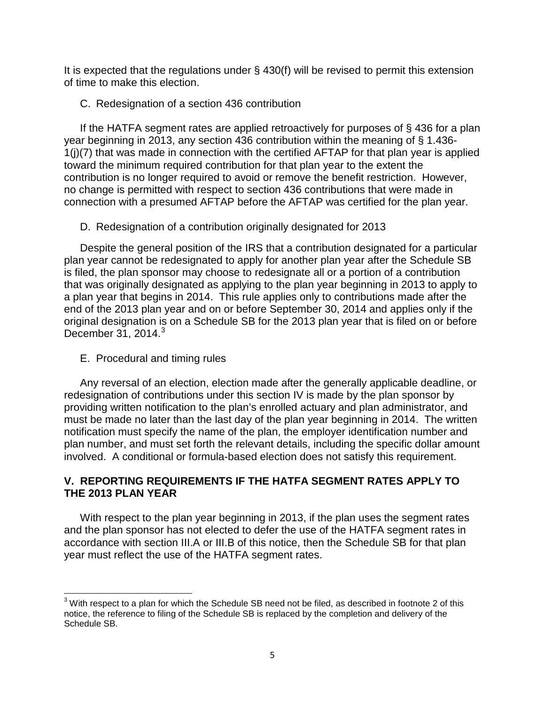It is expected that the regulations under § 430(f) will be revised to permit this extension of time to make this election.

### C. Redesignation of a section 436 contribution

If the HATFA segment rates are applied retroactively for purposes of § 436 for a plan year beginning in 2013, any section 436 contribution within the meaning of § 1.436- 1(j)(7) that was made in connection with the certified AFTAP for that plan year is applied toward the minimum required contribution for that plan year to the extent the contribution is no longer required to avoid or remove the benefit restriction. However, no change is permitted with respect to section 436 contributions that were made in connection with a presumed AFTAP before the AFTAP was certified for the plan year.

D. Redesignation of a contribution originally designated for 2013

Despite the general position of the IRS that a contribution designated for a particular plan year cannot be redesignated to apply for another plan year after the Schedule SB is filed, the plan sponsor may choose to redesignate all or a portion of a contribution that was originally designated as applying to the plan year beginning in 2013 to apply to a plan year that begins in 2014. This rule applies only to contributions made after the end of the 2013 plan year and on or before September 30, 2014 and applies only if the original designation is on a Schedule SB for the 2013 plan year that is filed on or before December  $31, 2014.<sup>3</sup>$  $31, 2014.<sup>3</sup>$ 

E. Procedural and timing rules

Any reversal of an election, election made after the generally applicable deadline, or redesignation of contributions under this section IV is made by the plan sponsor by providing written notification to the plan's enrolled actuary and plan administrator, and must be made no later than the last day of the plan year beginning in 2014. The written notification must specify the name of the plan, the employer identification number and plan number, and must set forth the relevant details, including the specific dollar amount involved. A conditional or formula-based election does not satisfy this requirement.

# **V. REPORTING REQUIREMENTS IF THE HATFA SEGMENT RATES APPLY TO THE 2013 PLAN YEAR**

With respect to the plan year beginning in 2013, if the plan uses the segment rates and the plan sponsor has not elected to defer the use of the HATFA segment rates in accordance with section III.A or III.B of this notice, then the Schedule SB for that plan year must reflect the use of the HATFA segment rates.

<span id="page-4-0"></span> $3$  With respect to a plan for which the Schedule SB need not be filed, as described in footnote 2 of this notice, the reference to filing of the Schedule SB is replaced by the completion and delivery of the Schedule SB.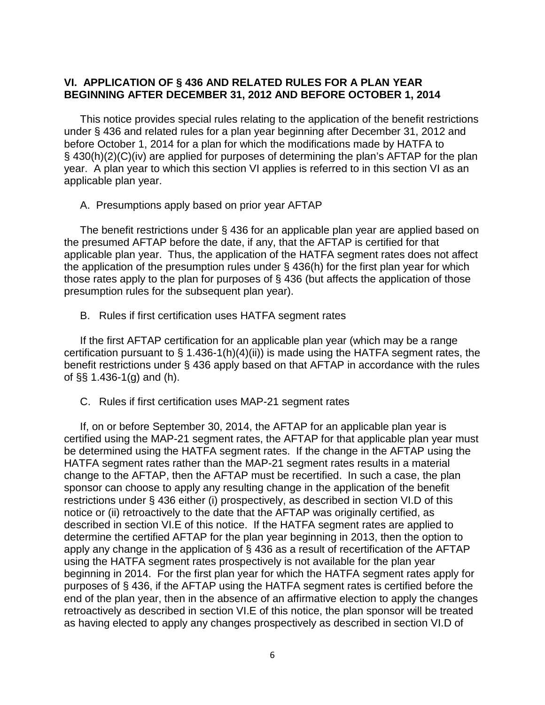### **VI. APPLICATION OF § 436 AND RELATED RULES FOR A PLAN YEAR BEGINNING AFTER DECEMBER 31, 2012 AND BEFORE OCTOBER 1, 2014**

This notice provides special rules relating to the application of the benefit restrictions under § 436 and related rules for a plan year beginning after December 31, 2012 and before October 1, 2014 for a plan for which the modifications made by HATFA to § 430(h)(2)(C)(iv) are applied for purposes of determining the plan's AFTAP for the plan year. A plan year to which this section VI applies is referred to in this section VI as an applicable plan year.

A. Presumptions apply based on prior year AFTAP

The benefit restrictions under § 436 for an applicable plan year are applied based on the presumed AFTAP before the date, if any, that the AFTAP is certified for that applicable plan year. Thus, the application of the HATFA segment rates does not affect the application of the presumption rules under § 436(h) for the first plan year for which those rates apply to the plan for purposes of § 436 (but affects the application of those presumption rules for the subsequent plan year).

B. Rules if first certification uses HATFA segment rates

If the first AFTAP certification for an applicable plan year (which may be a range certification pursuant to  $\S$  1.436-1(h)(4)(ii)) is made using the HATFA segment rates, the benefit restrictions under § 436 apply based on that AFTAP in accordance with the rules of §§ 1.436-1(g) and (h).

C. Rules if first certification uses MAP-21 segment rates

If, on or before September 30, 2014, the AFTAP for an applicable plan year is certified using the MAP-21 segment rates, the AFTAP for that applicable plan year must be determined using the HATFA segment rates. If the change in the AFTAP using the HATFA segment rates rather than the MAP-21 segment rates results in a material change to the AFTAP, then the AFTAP must be recertified. In such a case, the plan sponsor can choose to apply any resulting change in the application of the benefit restrictions under § 436 either (i) prospectively, as described in section VI.D of this notice or (ii) retroactively to the date that the AFTAP was originally certified, as described in section VI.E of this notice. If the HATFA segment rates are applied to determine the certified AFTAP for the plan year beginning in 2013, then the option to apply any change in the application of § 436 as a result of recertification of the AFTAP using the HATFA segment rates prospectively is not available for the plan year beginning in 2014. For the first plan year for which the HATFA segment rates apply for purposes of § 436, if the AFTAP using the HATFA segment rates is certified before the end of the plan year, then in the absence of an affirmative election to apply the changes retroactively as described in section VI.E of this notice, the plan sponsor will be treated as having elected to apply any changes prospectively as described in section VI.D of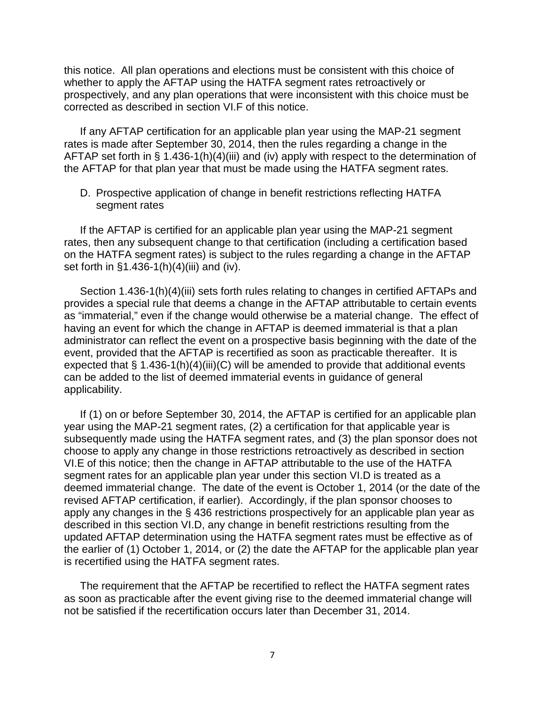this notice. All plan operations and elections must be consistent with this choice of whether to apply the AFTAP using the HATFA segment rates retroactively or prospectively, and any plan operations that were inconsistent with this choice must be corrected as described in section VI.F of this notice.

If any AFTAP certification for an applicable plan year using the MAP-21 segment rates is made after September 30, 2014, then the rules regarding a change in the AFTAP set forth in § 1.436-1(h)(4)(iii) and (iv) apply with respect to the determination of the AFTAP for that plan year that must be made using the HATFA segment rates.

D. Prospective application of change in benefit restrictions reflecting HATFA segment rates

If the AFTAP is certified for an applicable plan year using the MAP-21 segment rates, then any subsequent change to that certification (including a certification based on the HATFA segment rates) is subject to the rules regarding a change in the AFTAP set forth in §1.436-1(h)(4)(iii) and (iv).

Section 1.436-1(h)(4)(iii) sets forth rules relating to changes in certified AFTAPs and provides a special rule that deems a change in the AFTAP attributable to certain events as "immaterial," even if the change would otherwise be a material change. The effect of having an event for which the change in AFTAP is deemed immaterial is that a plan administrator can reflect the event on a prospective basis beginning with the date of the event, provided that the AFTAP is recertified as soon as practicable thereafter. It is expected that  $\S 1.436-1(h)(4)(iii)(C)$  will be amended to provide that additional events can be added to the list of deemed immaterial events in guidance of general applicability.

If (1) on or before September 30, 2014, the AFTAP is certified for an applicable plan year using the MAP-21 segment rates, (2) a certification for that applicable year is subsequently made using the HATFA segment rates, and (3) the plan sponsor does not choose to apply any change in those restrictions retroactively as described in section VI.E of this notice; then the change in AFTAP attributable to the use of the HATFA segment rates for an applicable plan year under this section VI.D is treated as a deemed immaterial change. The date of the event is October 1, 2014 (or the date of the revised AFTAP certification, if earlier). Accordingly, if the plan sponsor chooses to apply any changes in the § 436 restrictions prospectively for an applicable plan year as described in this section VI.D, any change in benefit restrictions resulting from the updated AFTAP determination using the HATFA segment rates must be effective as of the earlier of (1) October 1, 2014, or (2) the date the AFTAP for the applicable plan year is recertified using the HATFA segment rates.

The requirement that the AFTAP be recertified to reflect the HATFA segment rates as soon as practicable after the event giving rise to the deemed immaterial change will not be satisfied if the recertification occurs later than December 31, 2014.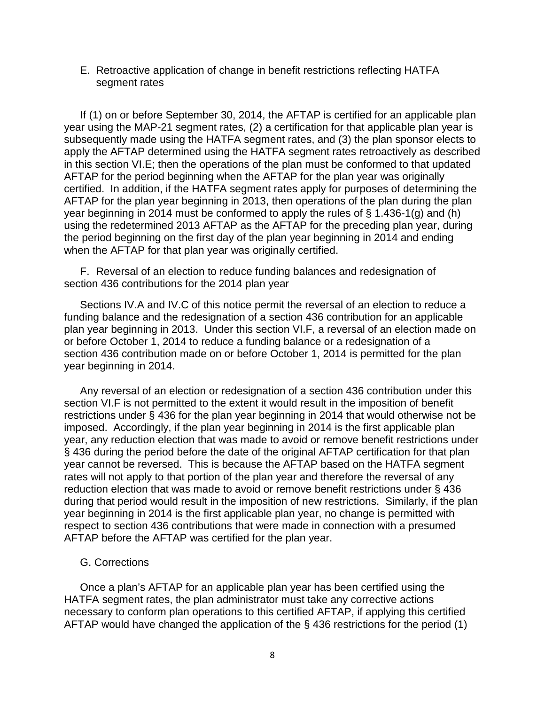#### E. Retroactive application of change in benefit restrictions reflecting HATFA segment rates

If (1) on or before September 30, 2014, the AFTAP is certified for an applicable plan year using the MAP-21 segment rates, (2) a certification for that applicable plan year is subsequently made using the HATFA segment rates, and (3) the plan sponsor elects to apply the AFTAP determined using the HATFA segment rates retroactively as described in this section VI.E; then the operations of the plan must be conformed to that updated AFTAP for the period beginning when the AFTAP for the plan year was originally certified. In addition, if the HATFA segment rates apply for purposes of determining the AFTAP for the plan year beginning in 2013, then operations of the plan during the plan year beginning in 2014 must be conformed to apply the rules of § 1.436-1(g) and (h) using the redetermined 2013 AFTAP as the AFTAP for the preceding plan year, during the period beginning on the first day of the plan year beginning in 2014 and ending when the AFTAP for that plan year was originally certified.

F. Reversal of an election to reduce funding balances and redesignation of section 436 contributions for the 2014 plan year

Sections IV.A and IV.C of this notice permit the reversal of an election to reduce a funding balance and the redesignation of a section 436 contribution for an applicable plan year beginning in 2013. Under this section VI.F, a reversal of an election made on or before October 1, 2014 to reduce a funding balance or a redesignation of a section 436 contribution made on or before October 1, 2014 is permitted for the plan year beginning in 2014.

Any reversal of an election or redesignation of a section 436 contribution under this section VI.F is not permitted to the extent it would result in the imposition of benefit restrictions under § 436 for the plan year beginning in 2014 that would otherwise not be imposed. Accordingly, if the plan year beginning in 2014 is the first applicable plan year, any reduction election that was made to avoid or remove benefit restrictions under § 436 during the period before the date of the original AFTAP certification for that plan year cannot be reversed. This is because the AFTAP based on the HATFA segment rates will not apply to that portion of the plan year and therefore the reversal of any reduction election that was made to avoid or remove benefit restrictions under § 436 during that period would result in the imposition of new restrictions. Similarly, if the plan year beginning in 2014 is the first applicable plan year, no change is permitted with respect to section 436 contributions that were made in connection with a presumed AFTAP before the AFTAP was certified for the plan year.

#### G. Corrections

Once a plan's AFTAP for an applicable plan year has been certified using the HATFA segment rates, the plan administrator must take any corrective actions necessary to conform plan operations to this certified AFTAP, if applying this certified AFTAP would have changed the application of the § 436 restrictions for the period (1)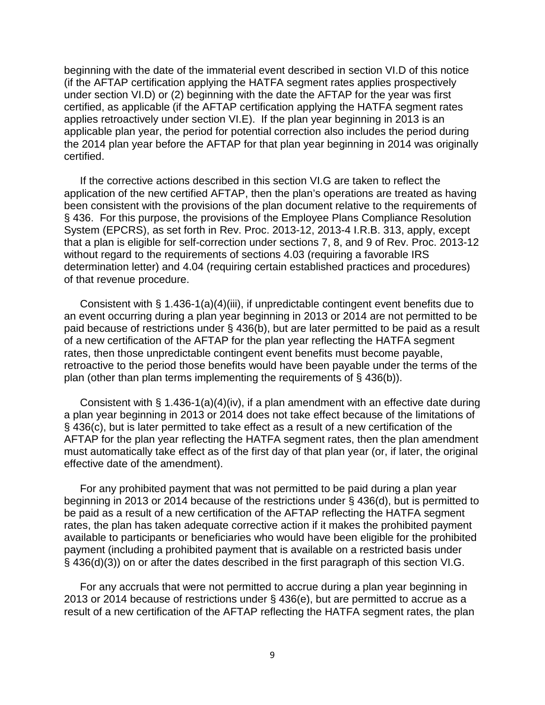beginning with the date of the immaterial event described in section VI.D of this notice (if the AFTAP certification applying the HATFA segment rates applies prospectively under section VI.D) or (2) beginning with the date the AFTAP for the year was first certified, as applicable (if the AFTAP certification applying the HATFA segment rates applies retroactively under section VI.E). If the plan year beginning in 2013 is an applicable plan year, the period for potential correction also includes the period during the 2014 plan year before the AFTAP for that plan year beginning in 2014 was originally certified.

If the corrective actions described in this section VI.G are taken to reflect the application of the new certified AFTAP, then the plan's operations are treated as having been consistent with the provisions of the plan document relative to the requirements of § 436. For this purpose, the provisions of the Employee Plans Compliance Resolution System (EPCRS), as set forth in Rev. Proc. 2013-12, 2013-4 I.R.B. 313, apply, except that a plan is eligible for self-correction under sections 7, 8, and 9 of Rev. Proc. 2013-12 without regard to the requirements of sections 4.03 (requiring a favorable IRS determination letter) and 4.04 (requiring certain established practices and procedures) of that revenue procedure.

Consistent with § 1.436-1(a)(4)(iii), if unpredictable contingent event benefits due to an event occurring during a plan year beginning in 2013 or 2014 are not permitted to be paid because of restrictions under § 436(b), but are later permitted to be paid as a result of a new certification of the AFTAP for the plan year reflecting the HATFA segment rates, then those unpredictable contingent event benefits must become payable, retroactive to the period those benefits would have been payable under the terms of the plan (other than plan terms implementing the requirements of § 436(b)).

Consistent with § 1.436-1(a)(4)(iv), if a plan amendment with an effective date during a plan year beginning in 2013 or 2014 does not take effect because of the limitations of § 436(c), but is later permitted to take effect as a result of a new certification of the AFTAP for the plan year reflecting the HATFA segment rates, then the plan amendment must automatically take effect as of the first day of that plan year (or, if later, the original effective date of the amendment).

For any prohibited payment that was not permitted to be paid during a plan year beginning in 2013 or 2014 because of the restrictions under § 436(d), but is permitted to be paid as a result of a new certification of the AFTAP reflecting the HATFA segment rates, the plan has taken adequate corrective action if it makes the prohibited payment available to participants or beneficiaries who would have been eligible for the prohibited payment (including a prohibited payment that is available on a restricted basis under § 436(d)(3)) on or after the dates described in the first paragraph of this section VI.G.

For any accruals that were not permitted to accrue during a plan year beginning in 2013 or 2014 because of restrictions under § 436(e), but are permitted to accrue as a result of a new certification of the AFTAP reflecting the HATFA segment rates, the plan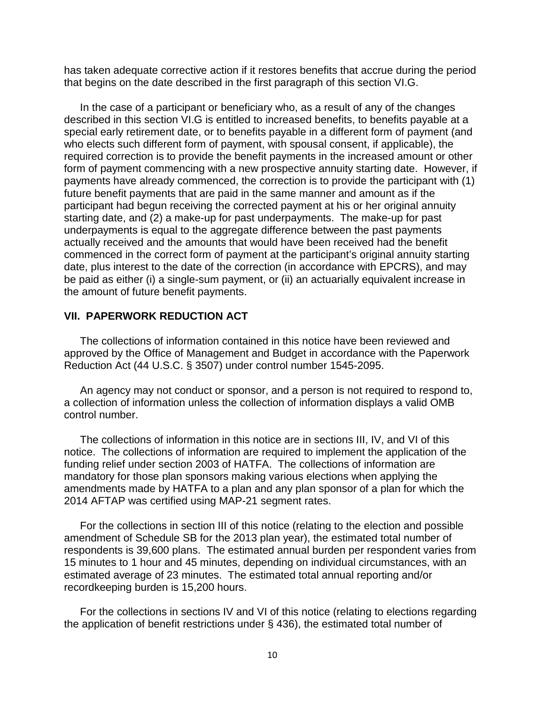has taken adequate corrective action if it restores benefits that accrue during the period that begins on the date described in the first paragraph of this section VI.G.

In the case of a participant or beneficiary who, as a result of any of the changes described in this section VI.G is entitled to increased benefits, to benefits payable at a special early retirement date, or to benefits payable in a different form of payment (and who elects such different form of payment, with spousal consent, if applicable), the required correction is to provide the benefit payments in the increased amount or other form of payment commencing with a new prospective annuity starting date. However, if payments have already commenced, the correction is to provide the participant with (1) future benefit payments that are paid in the same manner and amount as if the participant had begun receiving the corrected payment at his or her original annuity starting date, and (2) a make-up for past underpayments. The make-up for past underpayments is equal to the aggregate difference between the past payments actually received and the amounts that would have been received had the benefit commenced in the correct form of payment at the participant's original annuity starting date, plus interest to the date of the correction (in accordance with EPCRS), and may be paid as either (i) a single-sum payment, or (ii) an actuarially equivalent increase in the amount of future benefit payments.

#### **VII. PAPERWORK REDUCTION ACT**

The collections of information contained in this notice have been reviewed and approved by the Office of Management and Budget in accordance with the Paperwork Reduction Act (44 U.S.C. § 3507) under control number 1545-2095.

An agency may not conduct or sponsor, and a person is not required to respond to, a collection of information unless the collection of information displays a valid OMB control number.

The collections of information in this notice are in sections III, IV, and VI of this notice. The collections of information are required to implement the application of the funding relief under section 2003 of HATFA. The collections of information are mandatory for those plan sponsors making various elections when applying the amendments made by HATFA to a plan and any plan sponsor of a plan for which the 2014 AFTAP was certified using MAP-21 segment rates.

For the collections in section III of this notice (relating to the election and possible amendment of Schedule SB for the 2013 plan year), the estimated total number of respondents is 39,600 plans. The estimated annual burden per respondent varies from 15 minutes to 1 hour and 45 minutes, depending on individual circumstances, with an estimated average of 23 minutes. The estimated total annual reporting and/or recordkeeping burden is 15,200 hours.

For the collections in sections IV and VI of this notice (relating to elections regarding the application of benefit restrictions under § 436), the estimated total number of